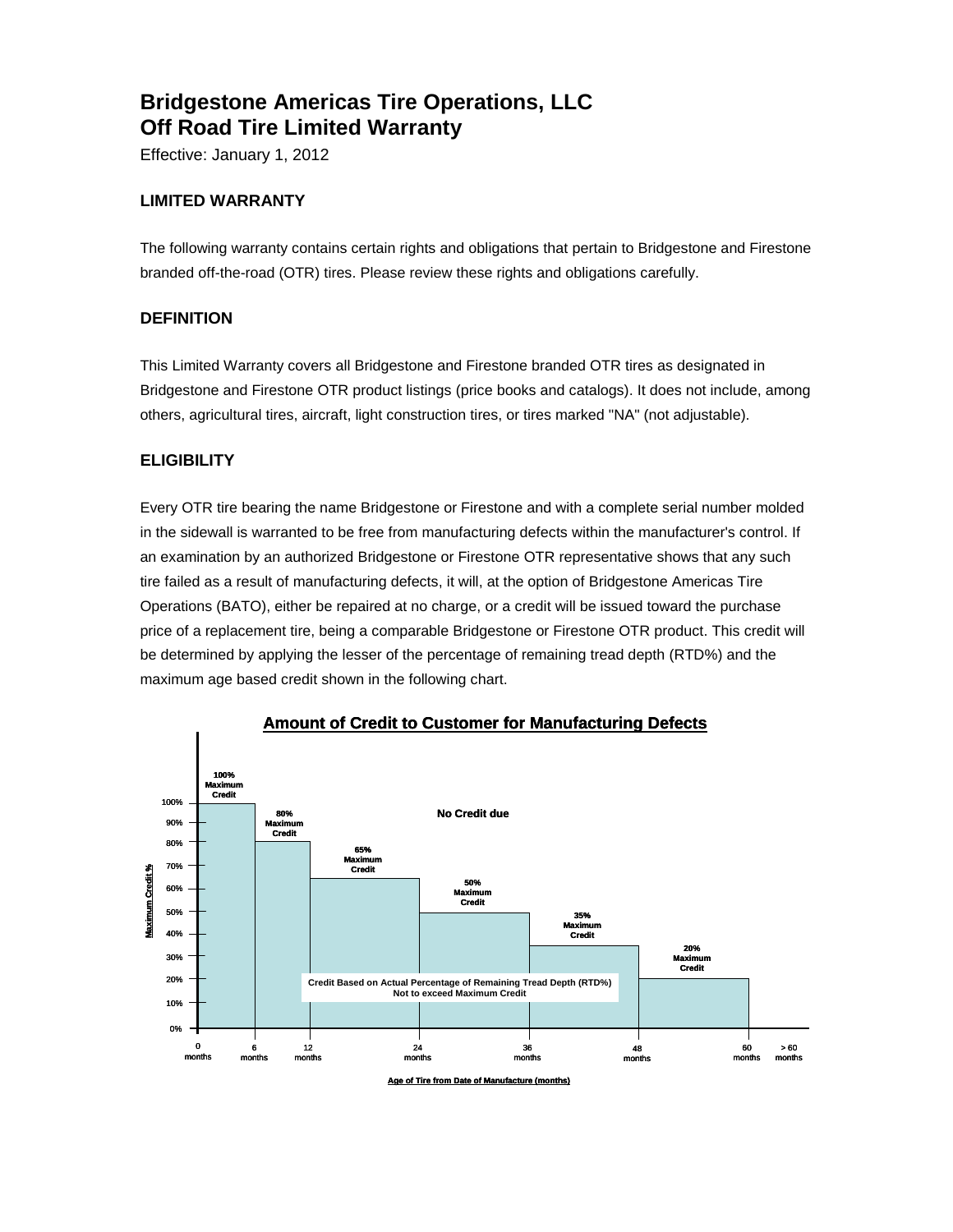# **Bridgestone Americas Tire Operations, LLC Off Road Tire Limited Warranty**

Effective: January 1, 2012

## **LIMITED WARRANTY**

The following warranty contains certain rights and obligations that pertain to Bridgestone and Firestone branded off-the-road (OTR) tires. Please review these rights and obligations carefully.

## **DEFINITION**

This Limited Warranty covers all Bridgestone and Firestone branded OTR tires as designated in Bridgestone and Firestone OTR product listings (price books and catalogs). It does not include, among others, agricultural tires, aircraft, light construction tires, or tires marked "NA" (not adjustable).

## **ELIGIBILITY**

Every OTR tire bearing the name Bridgestone or Firestone and with a complete serial number molded in the sidewall is warranted to be free from manufacturing defects within the manufacturer's control. If an examination by an authorized Bridgestone or Firestone OTR representative shows that any such tire failed as a result of manufacturing defects, it will, at the option of Bridgestone Americas Tire Operations (BATO), either be repaired at no charge, or a credit will be issued toward the purchase price of a replacement tire, being a comparable Bridgestone or Firestone OTR product. This credit will be determined by applying the lesser of the percentage of remaining tread depth (RTD%) and the maximum age based credit shown in the following chart.



**Amount of Credit to Customer for Manufacturing Defects**

**Age of Tire from Date of Manufacture (r**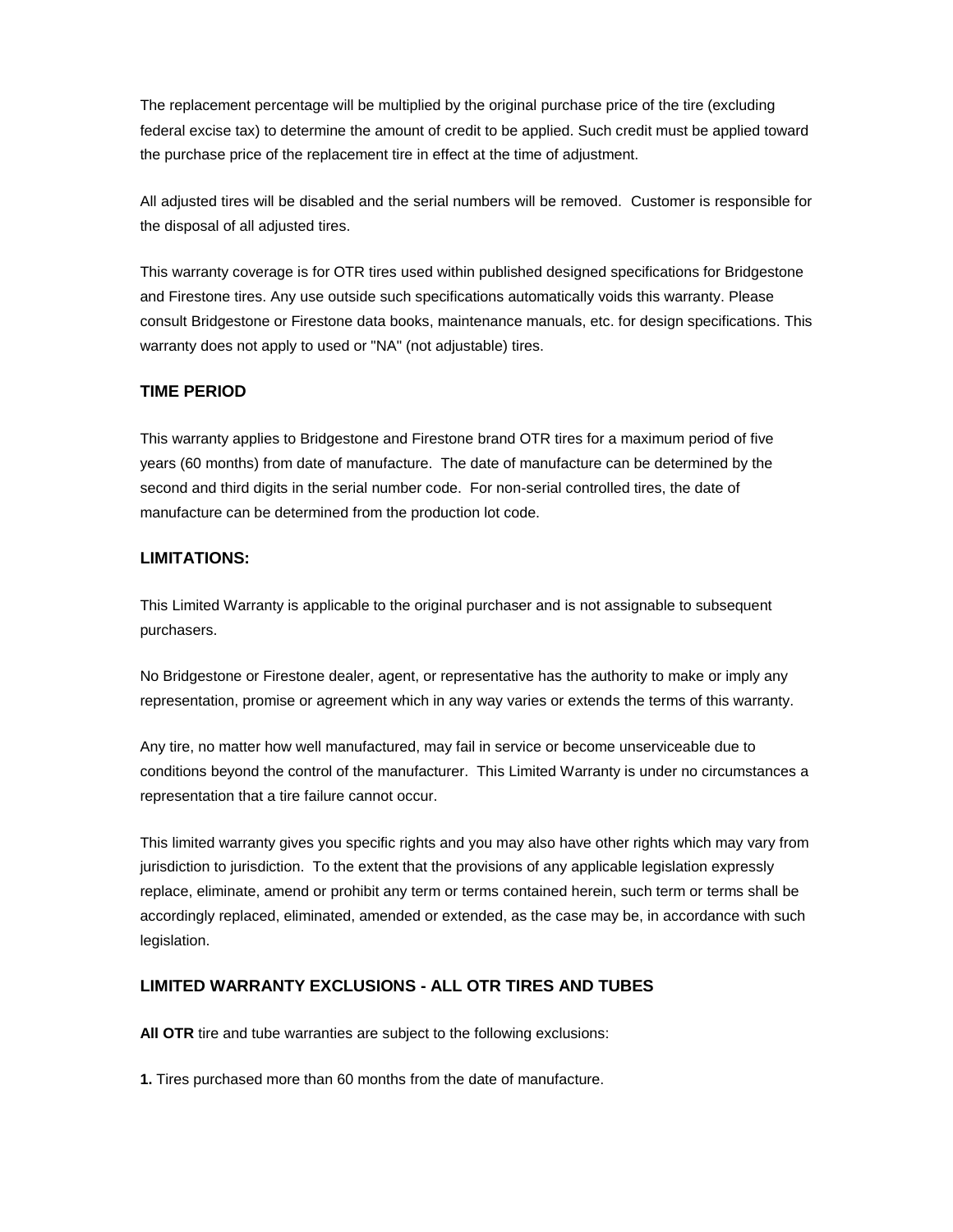The replacement percentage will be multiplied by the original purchase price of the tire (excluding federal excise tax) to determine the amount of credit to be applied. Such credit must be applied toward the purchase price of the replacement tire in effect at the time of adjustment.

All adjusted tires will be disabled and the serial numbers will be removed. Customer is responsible for the disposal of all adjusted tires.

This warranty coverage is for OTR tires used within published designed specifications for Bridgestone and Firestone tires. Any use outside such specifications automatically voids this warranty. Please consult Bridgestone or Firestone data books, maintenance manuals, etc. for design specifications. This warranty does not apply to used or "NA" (not adjustable) tires.

#### **TIME PERIOD**

This warranty applies to Bridgestone and Firestone brand OTR tires for a maximum period of five years (60 months) from date of manufacture. The date of manufacture can be determined by the second and third digits in the serial number code. For non-serial controlled tires, the date of manufacture can be determined from the production lot code.

#### **LIMITATIONS:**

This Limited Warranty is applicable to the original purchaser and is not assignable to subsequent purchasers.

No Bridgestone or Firestone dealer, agent, or representative has the authority to make or imply any representation, promise or agreement which in any way varies or extends the terms of this warranty.

Any tire, no matter how well manufactured, may fail in service or become unserviceable due to conditions beyond the control of the manufacturer. This Limited Warranty is under no circumstances a representation that a tire failure cannot occur.

This limited warranty gives you specific rights and you may also have other rights which may vary from jurisdiction to jurisdiction. To the extent that the provisions of any applicable legislation expressly replace, eliminate, amend or prohibit any term or terms contained herein, such term or terms shall be accordingly replaced, eliminated, amended or extended, as the case may be, in accordance with such legislation.

#### **LIMITED WARRANTY EXCLUSIONS - ALL OTR TIRES AND TUBES**

**All OTR** tire and tube warranties are subject to the following exclusions:

**1.** Tires purchased more than 60 months from the date of manufacture.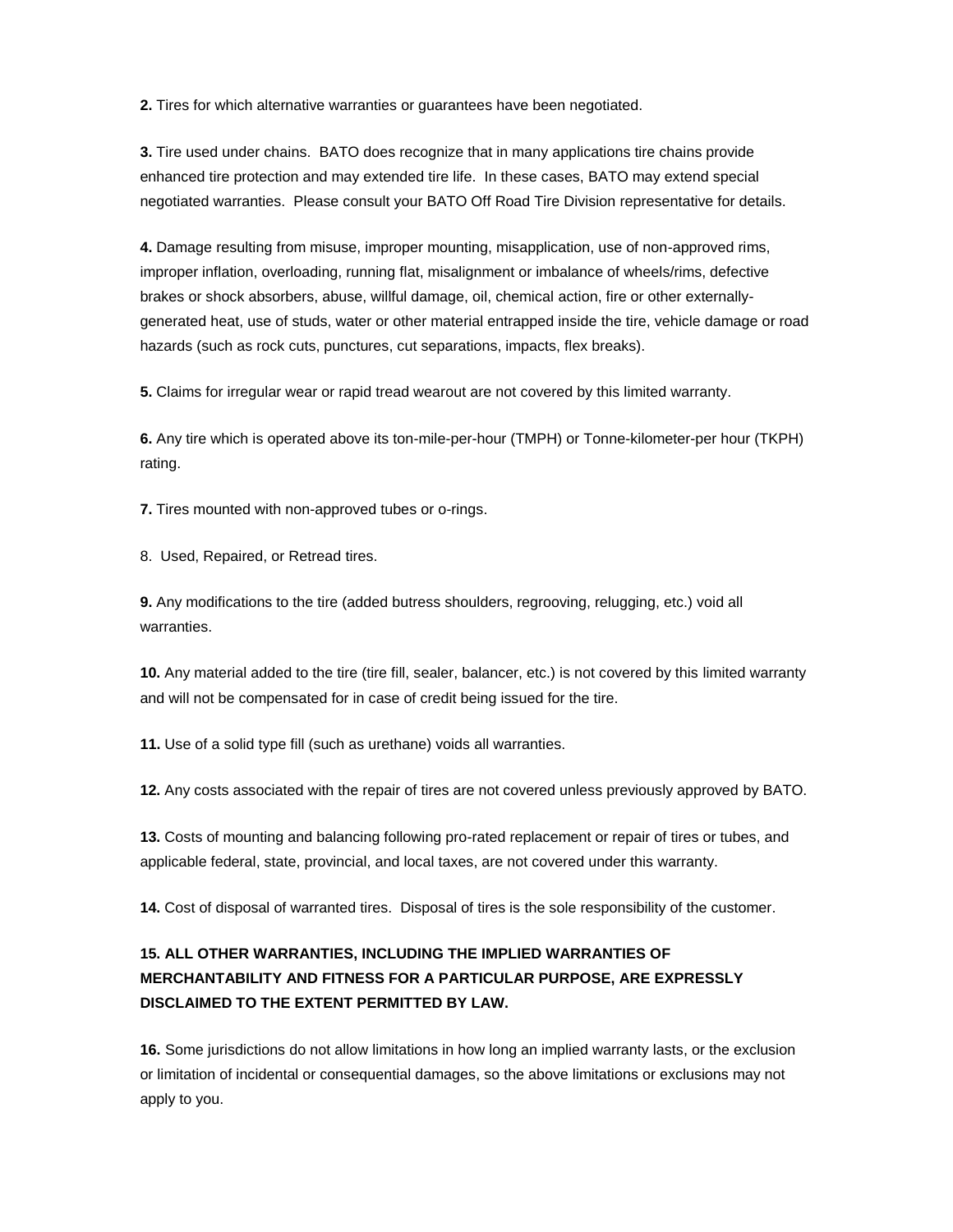**2.** Tires for which alternative warranties or guarantees have been negotiated.

**3.** Tire used under chains. BATO does recognize that in many applications tire chains provide enhanced tire protection and may extended tire life. In these cases, BATO may extend special negotiated warranties. Please consult your BATO Off Road Tire Division representative for details.

**4.** Damage resulting from misuse, improper mounting, misapplication, use of non-approved rims, improper inflation, overloading, running flat, misalignment or imbalance of wheels/rims, defective brakes or shock absorbers, abuse, willful damage, oil, chemical action, fire or other externallygenerated heat, use of studs, water or other material entrapped inside the tire, vehicle damage or road hazards (such as rock cuts, punctures, cut separations, impacts, flex breaks).

**5.** Claims for irregular wear or rapid tread wearout are not covered by this limited warranty.

**6.** Any tire which is operated above its ton-mile-per-hour (TMPH) or Tonne-kilometer-per hour (TKPH) rating.

**7.** Tires mounted with non-approved tubes or o-rings.

8. Used, Repaired, or Retread tires.

**9.** Any modifications to the tire (added butress shoulders, regrooving, relugging, etc.) void all warranties.

**10.** Any material added to the tire (tire fill, sealer, balancer, etc.) is not covered by this limited warranty and will not be compensated for in case of credit being issued for the tire.

**11.** Use of a solid type fill (such as urethane) voids all warranties.

**12.** Any costs associated with the repair of tires are not covered unless previously approved by BATO.

**13.** Costs of mounting and balancing following pro-rated replacement or repair of tires or tubes, and applicable federal, state, provincial, and local taxes, are not covered under this warranty.

**14.** Cost of disposal of warranted tires. Disposal of tires is the sole responsibility of the customer.

# **15. ALL OTHER WARRANTIES, INCLUDING THE IMPLIED WARRANTIES OF MERCHANTABILITY AND FITNESS FOR A PARTICULAR PURPOSE, ARE EXPRESSLY DISCLAIMED TO THE EXTENT PERMITTED BY LAW.**

**16.** Some jurisdictions do not allow limitations in how long an implied warranty lasts, or the exclusion or limitation of incidental or consequential damages, so the above limitations or exclusions may not apply to you.